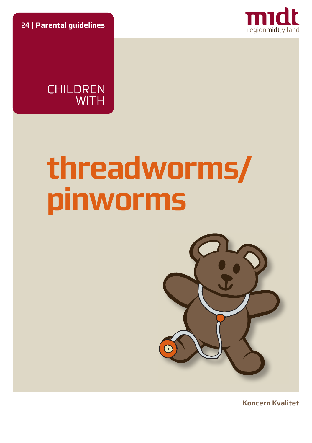**24** | **Parental guidelines**





# **threadworms/ pinworms**



**Koncern Kvalitet**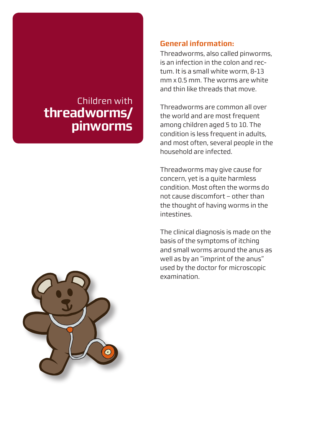# Children with **threadworms/ pinworms**

#### **General information:**

Threadworms, also called pinworms, is an infection in the colon and rectum. It is a small white worm, 8-13 mm x 0.5 mm. The worms are white and thin like threads that move.

Threadworms are common all over the world and are most frequent among children aged 5 to 10. The condition is less frequent in adults, and most often, several people in the household are infected.

Threadworms may give cause for concern, yet is a quite harmless condition. Most often the worms do not cause discomfort – other than the thought of having worms in the intestines.

The clinical diagnosis is made on the basis of the symptoms of itching and small worms around the anus as well as by an "imprint of the anus" used by the doctor for microscopic examination.

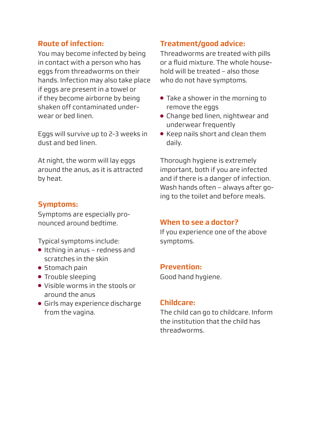### **Route of infection:**

You may become infected by being in contact with a person who has eggs from threadworms on their hands. Infection may also take place if eggs are present in a towel or if they become airborne by being shaken off contaminated underwear or bed linen.

Eggs will survive up to 2-3 weeks in dust and bed linen.

At night, the worm will lay eggs around the anus, as it is attracted by heat.

# **Symptoms:**

Symptoms are especially pronounced around bedtime.

Typical symptoms include:

- Itching in anus redness and scratches in the skin
- Stomach pain
- Trouble sleeping
- Visible worms in the stools or around the anus
- Girls may experience discharge from the vagina.

# **Treatment/good advice:**

Threadworms are treated with pills or a fluid mixture. The whole household will be treated – also those who do not have symptoms.

- Take a shower in the morning to remove the eggs
- Change bed linen, nightwear and underwear frequently
- Keep nails short and clean them daily.

Thorough hygiene is extremely important, both if you are infected and if there is a danger of infection. Wash hands often – always after going to the toilet and before meals.

#### **When to see a doctor?**

If you experience one of the above symptoms.

#### **Prevention:**

Good hand hygiene.

#### **Childcare:**

The child can go to childcare. Inform the institution that the child has threadworms.